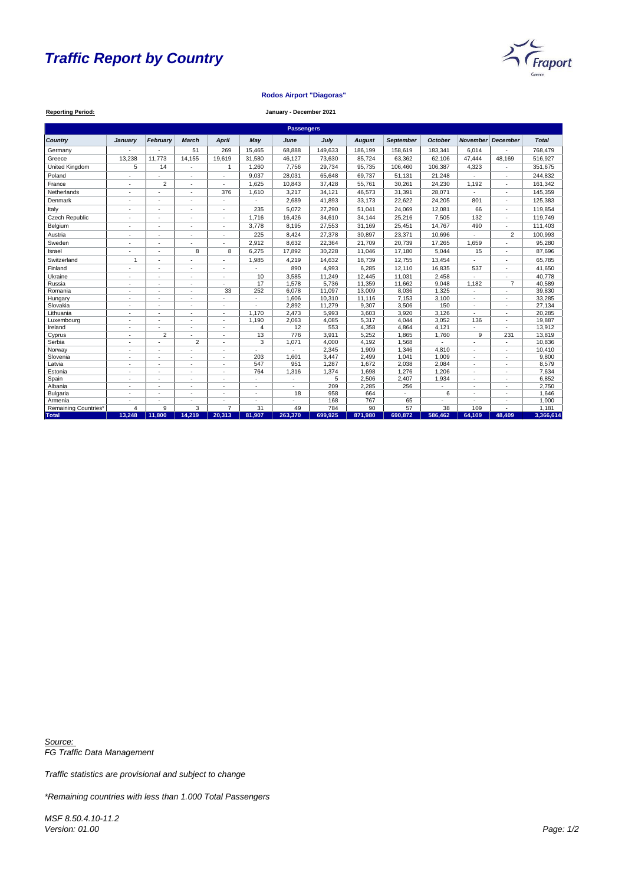# *Traffic Report by Country*

**Reporting Period:**



| <b>Passengers</b>           |                          |                          |                          |                          |            |                |         |               |                  |                 |                          |                          |              |
|-----------------------------|--------------------------|--------------------------|--------------------------|--------------------------|------------|----------------|---------|---------------|------------------|-----------------|--------------------------|--------------------------|--------------|
| <b>Country</b>              | January                  | <b>February</b>          | March                    | <b>April</b>             | <b>May</b> | June           | July    | <b>August</b> | <b>September</b> | <b>October</b>  | <b>November</b>          | <b>December</b>          | <b>Total</b> |
| Germany                     |                          |                          | 51                       | 269                      | 15,465     | 68,888         | 149,633 | 186,199       | 158,619          | 183,341         | 6,014                    |                          | 768,479      |
| Greece                      | 13,238                   | 11,773                   | 14,155                   | 19,619                   | 31,580     | 46,127         | 73,630  | 85,724        | 63,362           | 62,106          | 47,444                   | 48,169                   | 516,927      |
| United Kingdom              | $5\phantom{.0}$          | 14                       | $\overline{\phantom{a}}$ | $\overline{1}$           | 1,260      | 7,756          | 29,734  | 95,735        | 106,460          | 106,387         | 4,323                    | $\overline{\phantom{a}}$ | 351,675      |
| Poland                      |                          |                          | ä,                       |                          | 9,037      | 28,031         | 65,648  | 69,737        | 51,131           | 21,248          |                          | $\sim$                   | 244,832      |
| France                      |                          | $\overline{2}$           |                          |                          | 1,625      | 10,843         | 37,428  | 55,761        | 30,261           | 24,230          | 1,192                    |                          | 161,342      |
| Netherlands                 |                          |                          |                          | 376                      | 1,610      | 3,217          | 34,121  | 46,573        | 31,391           | 28,071          |                          |                          | 145,359      |
| Denmark                     |                          |                          |                          |                          |            | 2,689          | 41,893  | 33,173        | 22,622           | 24,205          | 801                      |                          | 125,383      |
| Italy                       |                          |                          |                          |                          | 235        | 5,072          | 27,290  | 51,041        | 24,069           | 12,081          | 66                       |                          | 119,854      |
| <b>Czech Republic</b>       |                          | $\overline{\phantom{a}}$ |                          |                          | 1,716      | 16,426         | 34,610  | 34,144        | 25,216           | 7,505           | 132                      |                          | 119,749      |
| Belgium                     |                          | $\overline{\phantom{a}}$ | $\overline{\phantom{a}}$ |                          | 3,778      | 8,195          | 27,553  | 31,169        | 25,451           | 14,767          | 490                      |                          | 111,403      |
| Austria                     |                          |                          | $\overline{a}$           | $\sim$                   | 225        | 8,424          | 27,378  | 30,897        | 23,371           | 10,696          | $\blacksquare$           | 2                        | 100,993      |
| Sweden                      |                          | $\blacksquare$           |                          | ÷.                       | 2,912      | 8,632          | 22,364  | 21,709        | 20,739           | 17,265          | 1,659                    | $\sim$                   | 95,280       |
| Israel                      |                          | $\overline{\phantom{a}}$ | 8                        | 8                        | 6,275      | 17,892         | 30,228  | 11,046        | 17,180           | 5,044           | 15                       | $\sim$                   | 87,696       |
| Switzerland                 | $\mathbf{1}$             | $\blacksquare$           | $\blacksquare$           |                          | 1,985      | 4,219          | 14,632  | 18,739        | 12,755           | 13,454          |                          |                          | 65,785       |
| Finland                     |                          |                          |                          |                          |            | 890            | 4,993   | 6,285         | 12,110           | 16,835          | 537                      |                          | 41,650       |
| Ukraine                     |                          | $\overline{\phantom{a}}$ | $\blacksquare$           |                          | 10         | 3,585          | 11,249  | 12,445        | 11,031           | 2,458           |                          |                          | 40,778       |
| Russia                      |                          | $\overline{\phantom{a}}$ | $\blacksquare$           |                          | 17         | 1,578          | 5,736   | 11,359        | 11,662           | 9,048           | 1,182                    | $\overline{7}$           | 40,589       |
| Romania                     |                          | $\overline{a}$           |                          | 33                       | 252        | 6,078          | 11,097  | 13,009        | 8,036            | 1,325           | ÷.                       | $\sim$                   | 39,830       |
| Hungary                     | $\sim$                   | $\blacksquare$           | $\blacksquare$           |                          | $\sim$     | 1,606          | 10,310  | 11,116        | 7,153            | 3,100           | $\overline{\phantom{0}}$ | $\sim$                   | 33,285       |
| Slovakia                    | $\blacksquare$           |                          |                          |                          |            | 2,892          | 11,279  | 9,307         | 3,506            | 150             |                          |                          | 27,134       |
| Lithuania                   |                          | <b>.</b>                 |                          |                          | 1,170      | 2,473          | 5,993   | 3,603         | 3,920            | 3,126           |                          |                          | 20,285       |
| Luxembourg                  | $\overline{a}$           | $\overline{\phantom{a}}$ | ٠                        |                          | 1,190      | 2,063          | 4,085   | 5,317         | 4,044            | 3,052           | 136                      | $\overline{a}$           | 19,887       |
| Ireland                     | $\overline{\phantom{a}}$ |                          | $\blacksquare$           |                          | 4          | 12             | 553     | 4,358         | 4,864            | 4,121           | ÷.                       |                          | 13,912       |
| Cyprus                      |                          | $\overline{2}$           |                          |                          | 13         | 776            | 3,911   | 5,252         | 1,865            | 1,760           | 9                        | 231                      | 13,819       |
| Serbia                      |                          |                          | $\overline{2}$           | $\sim$                   | 3          | 1,071          | 4,000   | 4,192         | 1,568            | $\sim$          |                          | $\sim$                   | 10,836       |
| Norway                      | $\overline{a}$           | $\overline{a}$           |                          | $\overline{\phantom{a}}$ |            | $\blacksquare$ | 2,345   | 1,909         | 1,346            | 4,810           | -                        | $\overline{\phantom{a}}$ | 10,410       |
| Slovenia                    |                          |                          |                          |                          | 203        | 1,601          | 3,447   | 2,499         | 1,041            | 1,009           |                          |                          | 9,800        |
| Latvia                      |                          | $\overline{\phantom{a}}$ | $\blacksquare$           |                          | 547        | 951            | 1,287   | 1,672         | 2,038            | 2,084           |                          | $\sim$                   | 8,579        |
| Estonia                     |                          | ٠.                       | ٠                        |                          | 764        | 1,316          | 1,374   | 1,698         | 1,276            | 1,206           | $\blacksquare$           |                          | 7,634        |
| Spain                       |                          |                          |                          |                          |            |                | 5       | 2,506         | 2,407            | 1,934           |                          |                          | 6,852        |
| Albania                     |                          | $\blacksquare$           | $\blacksquare$           |                          | $\sim$     | $\sim$         | 209     | 2,285         | 256              | $\sim$          |                          | $\sim$                   | 2,750        |
| <b>Bulgaria</b>             | $\overline{a}$           | $\overline{\phantom{a}}$ | $\blacksquare$           | $\overline{a}$           | $\sim$     | 18             | 958     | 664           | $\sim$           | 6               | $\blacksquare$           | $\overline{a}$           | 1,646        |
| Armenia                     |                          |                          |                          |                          |            |                | 168     | 767           | 65               |                 |                          |                          | 1,000        |
| <b>Remaining Countries*</b> | $\overline{4}$           | 9                        | 3                        | $\overline{7}$           | 31         | 49             | 784     | 90            | $\overline{57}$  | $\overline{38}$ | 109                      |                          | 1,181        |
| <b>Total</b>                | 13,248                   | 11,800                   | 14,219                   | 20,313                   | 81,907     | 263,370        | 699,925 | 871,980       | 690,872          | 586,462         | 64,109                   | 48,409                   | 3,366,614    |

## **Rodos Airport "Diagoras"**

#### **January - December 2021**

*Source: FG Traffic Data Management*

*Traffic statistics are provisional and subject to change*

*\*Remaining countries with less than 1.000 Total Passengers*

*MSF 8.50.4.10-11.2 Version: 01.00 Page: 1/2*